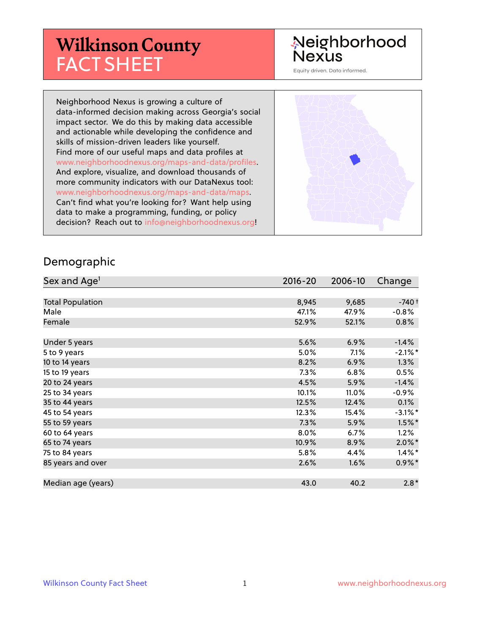# **Wilkinson County** FACT SHEET

# Neighborhood **Nexus**

Equity driven. Data informed.

Neighborhood Nexus is growing a culture of data-informed decision making across Georgia's social impact sector. We do this by making data accessible and actionable while developing the confidence and skills of mission-driven leaders like yourself. Find more of our useful maps and data profiles at www.neighborhoodnexus.org/maps-and-data/profiles. And explore, visualize, and download thousands of more community indicators with our DataNexus tool: www.neighborhoodnexus.org/maps-and-data/maps. Can't find what you're looking for? Want help using data to make a programming, funding, or policy decision? Reach out to [info@neighborhoodnexus.org!](mailto:info@neighborhoodnexus.org)



#### Demographic

| Sex and Age <sup>1</sup> | $2016 - 20$ | 2006-10 | Change     |
|--------------------------|-------------|---------|------------|
|                          |             |         |            |
| <b>Total Population</b>  | 8,945       | 9,685   | $-740+$    |
| Male                     | 47.1%       | 47.9%   | $-0.8%$    |
| Female                   | 52.9%       | 52.1%   | $0.8\%$    |
|                          |             |         |            |
| Under 5 years            | 5.6%        | 6.9%    | $-1.4%$    |
| 5 to 9 years             | $5.0\%$     | 7.1%    | $-2.1\%$ * |
| 10 to 14 years           | 8.2%        | 6.9%    | 1.3%       |
| 15 to 19 years           | 7.3%        | 6.8%    | 0.5%       |
| 20 to 24 years           | 4.5%        | 5.9%    | $-1.4%$    |
| 25 to 34 years           | 10.1%       | 11.0%   | $-0.9%$    |
| 35 to 44 years           | 12.5%       | 12.4%   | 0.1%       |
| 45 to 54 years           | 12.3%       | 15.4%   | $-3.1\%$ * |
| 55 to 59 years           | 7.3%        | 5.9%    | $1.5\%$ *  |
| 60 to 64 years           | 8.0%        | 6.7%    | $1.2\%$    |
| 65 to 74 years           | 10.9%       | 8.9%    | $2.0\%$ *  |
| 75 to 84 years           | 5.8%        | 4.4%    | $1.4\%$ *  |
| 85 years and over        | 2.6%        | 1.6%    | $0.9\% *$  |
|                          |             |         |            |
| Median age (years)       | 43.0        | 40.2    | $2.8*$     |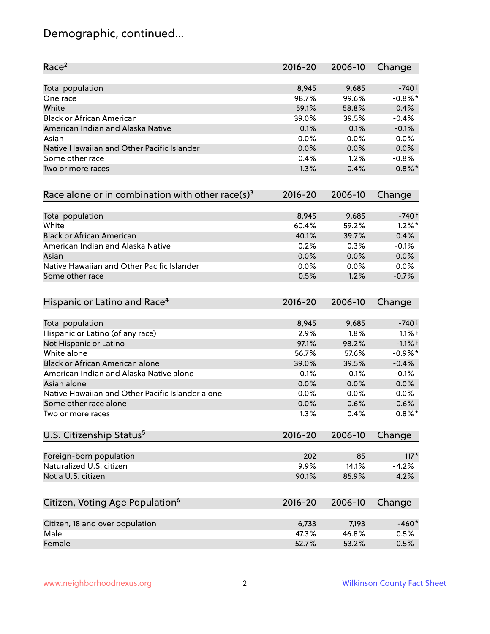# Demographic, continued...

| Race <sup>2</sup>                                            | $2016 - 20$ | 2006-10 | Change     |
|--------------------------------------------------------------|-------------|---------|------------|
| <b>Total population</b>                                      | 8,945       | 9,685   | $-740+$    |
| One race                                                     | 98.7%       | 99.6%   | $-0.8\%$ * |
| White                                                        | 59.1%       | 58.8%   | 0.4%       |
| <b>Black or African American</b>                             | 39.0%       | 39.5%   | $-0.4%$    |
| American Indian and Alaska Native                            | 0.1%        | 0.1%    | $-0.1%$    |
| Asian                                                        | 0.0%        | 0.0%    | 0.0%       |
| Native Hawaiian and Other Pacific Islander                   | 0.0%        | 0.0%    | 0.0%       |
| Some other race                                              | 0.4%        | 1.2%    | $-0.8%$    |
| Two or more races                                            | 1.3%        | 0.4%    | $0.8\%$ *  |
| Race alone or in combination with other race(s) <sup>3</sup> | $2016 - 20$ | 2006-10 | Change     |
| Total population                                             | 8,945       | 9,685   | $-740+$    |
| White                                                        | 60.4%       | 59.2%   | $1.2\%$ *  |
| <b>Black or African American</b>                             | 40.1%       | 39.7%   | 0.4%       |
| American Indian and Alaska Native                            | 0.2%        | 0.3%    | $-0.1%$    |
| Asian                                                        | 0.0%        | 0.0%    | 0.0%       |
| Native Hawaiian and Other Pacific Islander                   | 0.0%        | 0.0%    | 0.0%       |
| Some other race                                              | 0.5%        | 1.2%    | $-0.7%$    |
| Hispanic or Latino and Race <sup>4</sup>                     | $2016 - 20$ | 2006-10 | Change     |
| <b>Total population</b>                                      | 8,945       | 9,685   | $-740+$    |
| Hispanic or Latino (of any race)                             | 2.9%        | 1.8%    | $1.1%$ †   |
| Not Hispanic or Latino                                       | 97.1%       | 98.2%   | $-1.1%$ +  |
| White alone                                                  | 56.7%       | 57.6%   | $-0.9\%$ * |
| Black or African American alone                              | 39.0%       | 39.5%   | $-0.4%$    |
| American Indian and Alaska Native alone                      | 0.1%        | 0.1%    | $-0.1%$    |
| Asian alone                                                  | 0.0%        | 0.0%    | 0.0%       |
| Native Hawaiian and Other Pacific Islander alone             | 0.0%        | 0.0%    | 0.0%       |
| Some other race alone                                        | 0.0%        | 0.6%    | $-0.6%$    |
| Two or more races                                            | 1.3%        | 0.4%    | $0.8\%$ *  |
| U.S. Citizenship Status <sup>5</sup>                         | $2016 - 20$ | 2006-10 | Change     |
| Foreign-born population                                      | 202         | 85      | $117*$     |
| Naturalized U.S. citizen                                     | 9.9%        | 14.1%   | $-4.2%$    |
| Not a U.S. citizen                                           | 90.1%       | 85.9%   | 4.2%       |
|                                                              |             |         |            |
| Citizen, Voting Age Population <sup>6</sup>                  | $2016 - 20$ | 2006-10 | Change     |
| Citizen, 18 and over population                              | 6,733       | 7,193   | $-460*$    |
| Male                                                         | 47.3%       | 46.8%   | 0.5%       |
| Female                                                       | 52.7%       | 53.2%   | $-0.5%$    |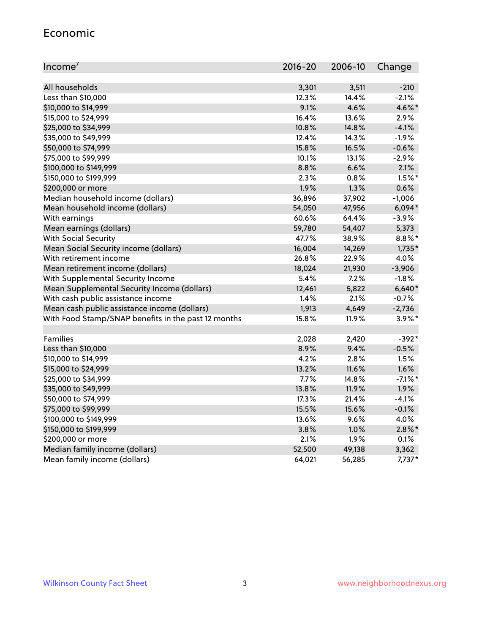#### Economic

| Income <sup>7</sup>                                 | $2016 - 20$ | 2006-10 | Change     |
|-----------------------------------------------------|-------------|---------|------------|
|                                                     |             |         |            |
| All households                                      | 3,301       | 3,511   | $-210$     |
| Less than \$10,000                                  | 12.3%       | 14.4%   | $-2.1%$    |
| \$10,000 to \$14,999                                | 9.1%        | 4.6%    | 4.6%*      |
| \$15,000 to \$24,999                                | 16.4%       | 13.6%   | 2.9%       |
| \$25,000 to \$34,999                                | 10.8%       | 14.8%   | $-4.1%$    |
| \$35,000 to \$49,999                                | 12.4%       | 14.3%   | $-1.9%$    |
| \$50,000 to \$74,999                                | 15.8%       | 16.5%   | $-0.6%$    |
| \$75,000 to \$99,999                                | 10.1%       | 13.1%   | $-2.9%$    |
| \$100,000 to \$149,999                              | 8.8%        | 6.6%    | 2.1%       |
| \$150,000 to \$199,999                              | 2.3%        | 0.8%    | $1.5\%$ *  |
| \$200,000 or more                                   | 1.9%        | 1.3%    | 0.6%       |
| Median household income (dollars)                   | 36,896      | 37,902  | $-1,006$   |
| Mean household income (dollars)                     | 54,050      | 47,956  | $6,094*$   |
| With earnings                                       | 60.6%       | 64.4%   | $-3.9%$    |
| Mean earnings (dollars)                             | 59,780      | 54,407  | 5,373      |
| <b>With Social Security</b>                         | 47.7%       | 38.9%   | $8.8\%$ *  |
| Mean Social Security income (dollars)               | 16,004      | 14,269  | $1,735*$   |
| With retirement income                              | 26.8%       | 22.9%   | 4.0%       |
| Mean retirement income (dollars)                    | 18,024      | 21,930  | $-3,906$   |
| With Supplemental Security Income                   | 5.4%        | $7.2\%$ | $-1.8%$    |
| Mean Supplemental Security Income (dollars)         | 12,461      | 5,822   | $6,640*$   |
| With cash public assistance income                  | 1.4%        | 2.1%    | $-0.7%$    |
| Mean cash public assistance income (dollars)        | 1,913       | 4,649   | $-2,736$   |
| With Food Stamp/SNAP benefits in the past 12 months | 15.8%       | 11.9%   | $3.9\%$ *  |
|                                                     |             |         |            |
| Families                                            | 2,028       | 2,420   | $-392*$    |
| Less than \$10,000                                  | 8.9%        | 9.4%    | $-0.5%$    |
| \$10,000 to \$14,999                                | 4.2%        | 2.8%    | 1.5%       |
| \$15,000 to \$24,999                                | 13.2%       | 11.6%   | 1.6%       |
| \$25,000 to \$34,999                                | 7.7%        | 14.8%   | $-7.1\%$ * |
| \$35,000 to \$49,999                                | 13.8%       | 11.9%   | 1.9%       |
| \$50,000 to \$74,999                                | 17.3%       | 21.4%   | $-4.1%$    |
| \$75,000 to \$99,999                                | 15.5%       | 15.6%   | $-0.1%$    |
| \$100,000 to \$149,999                              | 13.6%       | $9.6\%$ | 4.0%       |
| \$150,000 to \$199,999                              | 3.8%        | 1.0%    | $2.8\%$ *  |
| \$200,000 or more                                   | 2.1%        | 1.9%    | 0.1%       |
| Median family income (dollars)                      | 52,500      | 49,138  | 3,362      |
| Mean family income (dollars)                        | 64,021      | 56,285  | $7,737*$   |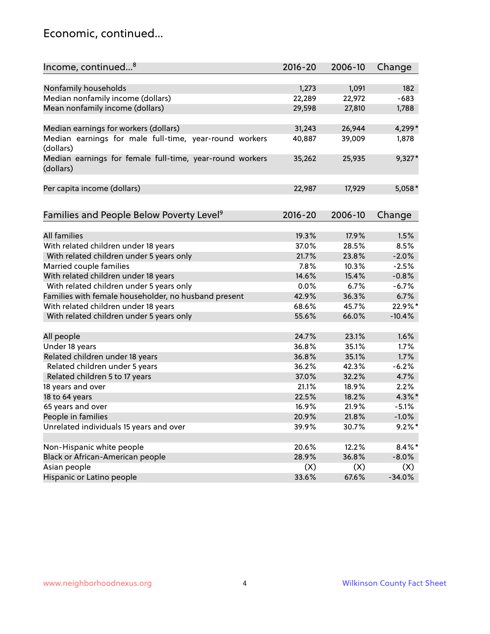### Economic, continued...

| Income, continued <sup>8</sup>                           | $2016 - 20$ | 2006-10 | Change    |
|----------------------------------------------------------|-------------|---------|-----------|
|                                                          |             |         |           |
| Nonfamily households                                     | 1,273       | 1,091   | 182       |
| Median nonfamily income (dollars)                        | 22,289      | 22,972  | $-683$    |
| Mean nonfamily income (dollars)                          | 29,598      | 27,810  | 1,788     |
|                                                          |             |         |           |
| Median earnings for workers (dollars)                    | 31,243      | 26,944  | 4,299*    |
| Median earnings for male full-time, year-round workers   | 40,887      | 39,009  | 1,878     |
| (dollars)                                                |             |         |           |
| Median earnings for female full-time, year-round workers | 35,262      | 25,935  | $9,327*$  |
| (dollars)                                                |             |         |           |
|                                                          | 22,987      | 17,929  |           |
| Per capita income (dollars)                              |             |         | $5,058*$  |
|                                                          |             |         |           |
| Families and People Below Poverty Level <sup>9</sup>     | $2016 - 20$ | 2006-10 | Change    |
|                                                          |             |         |           |
| All families                                             | 19.3%       | 17.9%   | 1.5%      |
| With related children under 18 years                     | 37.0%       | 28.5%   | 8.5%      |
| With related children under 5 years only                 | 21.7%       | 23.8%   | $-2.0%$   |
| Married couple families                                  | 7.8%        | 10.3%   | $-2.5%$   |
| With related children under 18 years                     | 14.6%       | 15.4%   | $-0.8%$   |
| With related children under 5 years only                 | 0.0%        | 6.7%    | $-6.7%$   |
| Families with female householder, no husband present     | 42.9%       | 36.3%   | 6.7%      |
| With related children under 18 years                     | 68.6%       | 45.7%   | 22.9%*    |
| With related children under 5 years only                 | 55.6%       | 66.0%   | $-10.4%$  |
| All people                                               | 24.7%       | 23.1%   | 1.6%      |
| Under 18 years                                           | 36.8%       | 35.1%   | 1.7%      |
| Related children under 18 years                          | 36.8%       | 35.1%   | 1.7%      |
| Related children under 5 years                           | 36.2%       | 42.3%   | $-6.2%$   |
|                                                          |             |         |           |
| Related children 5 to 17 years                           | 37.0%       | 32.2%   | 4.7%      |
| 18 years and over                                        | 21.1%       | 18.9%   | 2.2%      |
| 18 to 64 years                                           | 22.5%       | 18.2%   | $4.3\%$ * |
| 65 years and over                                        | 16.9%       | 21.9%   | $-5.1%$   |
| People in families                                       | 20.9%       | 21.8%   | $-1.0%$   |
| Unrelated individuals 15 years and over                  | 39.9%       | 30.7%   | $9.2%$ *  |
|                                                          |             |         |           |
| Non-Hispanic white people                                | 20.6%       | 12.2%   | $8.4\%$ * |
| Black or African-American people                         | 28.9%       | 36.8%   | $-8.0\%$  |
| Asian people                                             | (X)         | (X)     | (X)       |
| Hispanic or Latino people                                | 33.6%       | 67.6%   | $-34.0%$  |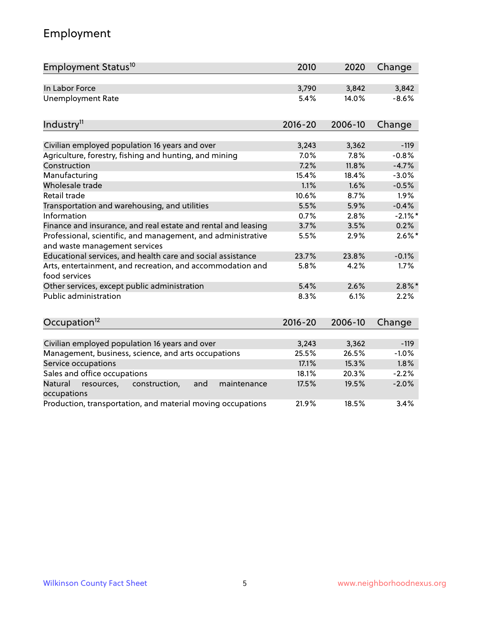# Employment

| Employment Status <sup>10</sup>                                                               | 2010        | 2020    | Change     |
|-----------------------------------------------------------------------------------------------|-------------|---------|------------|
| In Labor Force                                                                                | 3,790       | 3,842   | 3,842      |
| Unemployment Rate                                                                             | 5.4%        | 14.0%   | $-8.6%$    |
| Industry <sup>11</sup>                                                                        | $2016 - 20$ | 2006-10 | Change     |
|                                                                                               |             |         |            |
| Civilian employed population 16 years and over                                                | 3,243       | 3,362   | $-119$     |
| Agriculture, forestry, fishing and hunting, and mining                                        | 7.0%        | 7.8%    | $-0.8%$    |
| Construction                                                                                  | 7.2%        | 11.8%   | $-4.7%$    |
| Manufacturing                                                                                 | 15.4%       | 18.4%   | $-3.0%$    |
| Wholesale trade                                                                               | 1.1%        | 1.6%    | $-0.5%$    |
| Retail trade                                                                                  | 10.6%       | 8.7%    | 1.9%       |
| Transportation and warehousing, and utilities                                                 | 5.5%        | 5.9%    | $-0.4%$    |
| Information                                                                                   | 0.7%        | 2.8%    | $-2.1\%$ * |
| Finance and insurance, and real estate and rental and leasing                                 | 3.7%        | 3.5%    | 0.2%       |
| Professional, scientific, and management, and administrative<br>and waste management services | 5.5%        | 2.9%    | $2.6\%$ *  |
| Educational services, and health care and social assistance                                   | 23.7%       | 23.8%   | $-0.1%$    |
| Arts, entertainment, and recreation, and accommodation and<br>food services                   | 5.8%        | 4.2%    | 1.7%       |
| Other services, except public administration                                                  | 5.4%        | 2.6%    | $2.8\%$ *  |
| <b>Public administration</b>                                                                  | 8.3%        | 6.1%    | 2.2%       |
| Occupation <sup>12</sup>                                                                      | $2016 - 20$ | 2006-10 | Change     |
|                                                                                               |             |         |            |
| Civilian employed population 16 years and over                                                | 3,243       | 3,362   | $-119$     |
| Management, business, science, and arts occupations                                           | 25.5%       | 26.5%   | $-1.0%$    |
| Service occupations                                                                           | 17.1%       | 15.3%   | 1.8%       |
| Sales and office occupations                                                                  | 18.1%       | 20.3%   | $-2.2%$    |
| and<br>Natural<br>resources,<br>construction,<br>maintenance<br>occupations                   | 17.5%       | 19.5%   | $-2.0%$    |
| Production, transportation, and material moving occupations                                   | 21.9%       | 18.5%   | 3.4%       |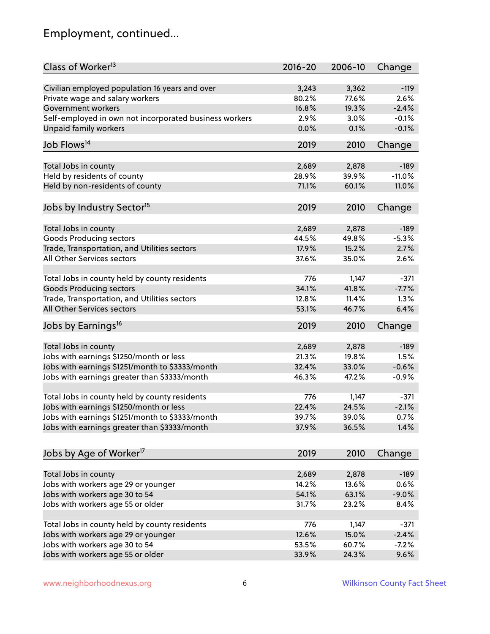# Employment, continued...

| Class of Worker <sup>13</sup>                          | $2016 - 20$    | 2006-10 | Change   |
|--------------------------------------------------------|----------------|---------|----------|
| Civilian employed population 16 years and over         | 3,243          | 3,362   | $-119$   |
| Private wage and salary workers                        | 80.2%          | 77.6%   | 2.6%     |
| Government workers                                     | 16.8%          | 19.3%   | $-2.4%$  |
| Self-employed in own not incorporated business workers | 2.9%           | 3.0%    | $-0.1%$  |
| Unpaid family workers                                  | 0.0%           | 0.1%    | $-0.1%$  |
|                                                        |                |         |          |
| Job Flows <sup>14</sup>                                | 2019           | 2010    | Change   |
| Total Jobs in county                                   | 2,689          | 2,878   | $-189$   |
| Held by residents of county                            | 28.9%          | 39.9%   | $-11.0%$ |
| Held by non-residents of county                        | 71.1%          | 60.1%   | 11.0%    |
|                                                        |                |         |          |
| Jobs by Industry Sector <sup>15</sup>                  | 2019           | 2010    | Change   |
|                                                        |                |         |          |
| Total Jobs in county                                   | 2,689<br>44.5% | 2,878   | $-189$   |
| Goods Producing sectors                                |                | 49.8%   | $-5.3%$  |
| Trade, Transportation, and Utilities sectors           | 17.9%          | 15.2%   | 2.7%     |
| All Other Services sectors                             | 37.6%          | 35.0%   | 2.6%     |
| Total Jobs in county held by county residents          | 776            | 1,147   | $-371$   |
| <b>Goods Producing sectors</b>                         | 34.1%          | 41.8%   | $-7.7%$  |
| Trade, Transportation, and Utilities sectors           | 12.8%          | 11.4%   | 1.3%     |
| All Other Services sectors                             | 53.1%          | 46.7%   | 6.4%     |
|                                                        | 2019           | 2010    |          |
| Jobs by Earnings <sup>16</sup>                         |                |         | Change   |
| Total Jobs in county                                   | 2,689          | 2,878   | $-189$   |
| Jobs with earnings \$1250/month or less                | 21.3%          | 19.8%   | 1.5%     |
| Jobs with earnings \$1251/month to \$3333/month        | 32.4%          | 33.0%   | $-0.6%$  |
| Jobs with earnings greater than \$3333/month           | 46.3%          | 47.2%   | $-0.9%$  |
|                                                        |                |         |          |
| Total Jobs in county held by county residents          | 776            | 1,147   | $-371$   |
| Jobs with earnings \$1250/month or less                | 22.4%          | 24.5%   | $-2.1%$  |
| Jobs with earnings \$1251/month to \$3333/month        | 39.7%          | 39.0%   | $0.7\%$  |
| Jobs with earnings greater than \$3333/month           | 37.9%          | 36.5%   | 1.4%     |
|                                                        |                |         |          |
| Jobs by Age of Worker <sup>17</sup>                    | 2019           | 2010    | Change   |
| Total Jobs in county                                   | 2,689          | 2,878   | $-189$   |
| Jobs with workers age 29 or younger                    | 14.2%          | 13.6%   | 0.6%     |
| Jobs with workers age 30 to 54                         | 54.1%          | 63.1%   | $-9.0%$  |
| Jobs with workers age 55 or older                      | 31.7%          | 23.2%   | 8.4%     |
|                                                        |                |         |          |
| Total Jobs in county held by county residents          | 776            | 1,147   | $-371$   |
| Jobs with workers age 29 or younger                    | 12.6%          | 15.0%   | $-2.4%$  |
| Jobs with workers age 30 to 54                         | 53.5%          | 60.7%   | $-7.2%$  |
| Jobs with workers age 55 or older                      | 33.9%          | 24.3%   | 9.6%     |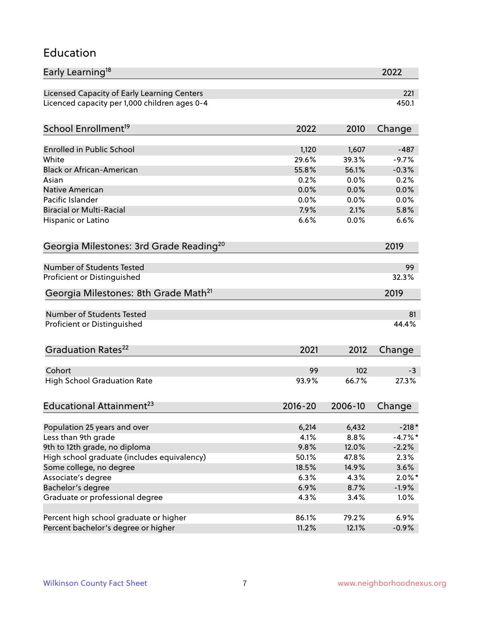#### Education

| Early Learning <sup>18</sup>                                                  |                |                | 2022            |
|-------------------------------------------------------------------------------|----------------|----------------|-----------------|
| Licensed Capacity of Early Learning Centers                                   |                |                | 221             |
| Licenced capacity per 1,000 children ages 0-4                                 |                |                | 450.1           |
|                                                                               |                |                |                 |
| School Enrollment <sup>19</sup>                                               | 2022           | 2010           | Change          |
| Enrolled in Public School                                                     | 1,120          | 1,607          | $-487$          |
| White                                                                         | 29.6%          | 39.3%          | $-9.7%$         |
| <b>Black or African-American</b>                                              | 55.8%          | 56.1%          | $-0.3%$         |
| Asian                                                                         | 0.2%           | 0.0%           | 0.2%            |
| <b>Native American</b>                                                        | 0.0%           | 0.0%           | 0.0%            |
| Pacific Islander                                                              | 0.0%           | 0.0%           | 0.0%            |
| <b>Biracial or Multi-Racial</b>                                               | 7.9%           | 2.1%           | 5.8%            |
| Hispanic or Latino                                                            | 6.6%           | 0.0%           | 6.6%            |
|                                                                               |                |                |                 |
| Georgia Milestones: 3rd Grade Reading <sup>20</sup>                           |                |                | 2019            |
| <b>Number of Students Tested</b>                                              |                |                | 99              |
| Proficient or Distinguished                                                   |                |                | 32.3%           |
|                                                                               |                |                |                 |
| Georgia Milestones: 8th Grade Math <sup>21</sup>                              |                |                | 2019            |
| <b>Number of Students Tested</b>                                              |                |                | 81              |
| Proficient or Distinguished                                                   |                |                | 44.4%           |
|                                                                               |                |                |                 |
| Graduation Rates <sup>22</sup>                                                | 2021           | 2012           | Change          |
|                                                                               |                |                |                 |
| Cohort                                                                        | 99             | 102            | -3              |
| <b>High School Graduation Rate</b>                                            | 93.9%          | 66.7%          | 27.3%           |
|                                                                               |                |                |                 |
| Educational Attainment <sup>23</sup>                                          | $2016 - 20$    | 2006-10        | Change          |
|                                                                               |                |                |                 |
| Population 25 years and over                                                  | 6,214          | 6,432          | $-218*$         |
| Less than 9th grade                                                           | 4.1%           | 8.8%           | $-4.7%$ *       |
| 9th to 12th grade, no diploma                                                 | 9.8%           | 12.0%          | $-2.2%$         |
| High school graduate (includes equivalency)                                   | 50.1%          | 47.8%          | 2.3%            |
| Some college, no degree                                                       | 18.5%          | 14.9%          | 3.6%            |
| Associate's degree                                                            | 6.3%           | 4.3%           | $2.0\%$ *       |
| Bachelor's degree                                                             | 6.9%           | 8.7%           | $-1.9%$         |
| Graduate or professional degree                                               | 4.3%           | 3.4%           | 1.0%            |
|                                                                               |                |                |                 |
| Percent high school graduate or higher<br>Percent bachelor's degree or higher | 86.1%<br>11.2% | 79.2%<br>12.1% | 6.9%<br>$-0.9%$ |
|                                                                               |                |                |                 |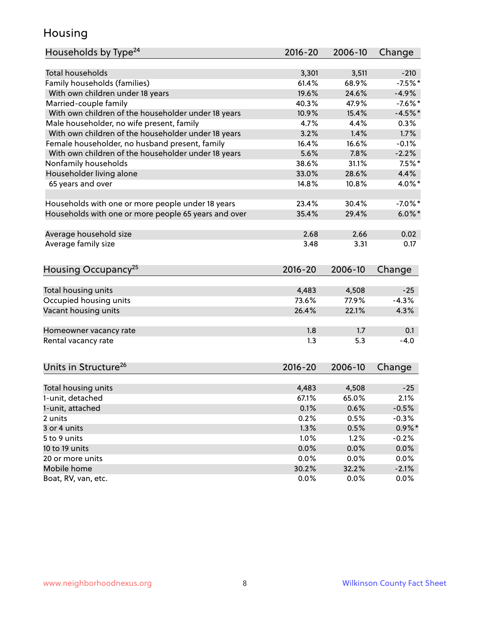### Housing

| Households by Type <sup>24</sup>                     | 2016-20     | 2006-10 | Change     |
|------------------------------------------------------|-------------|---------|------------|
|                                                      |             |         |            |
| <b>Total households</b>                              | 3,301       | 3,511   | $-210$     |
| Family households (families)                         | 61.4%       | 68.9%   | $-7.5%$ *  |
| With own children under 18 years                     | 19.6%       | 24.6%   | $-4.9%$    |
| Married-couple family                                | 40.3%       | 47.9%   | $-7.6\%$ * |
| With own children of the householder under 18 years  | 10.9%       | 15.4%   | $-4.5%$    |
| Male householder, no wife present, family            | 4.7%        | 4.4%    | 0.3%       |
| With own children of the householder under 18 years  | 3.2%        | 1.4%    | 1.7%       |
| Female householder, no husband present, family       | 16.4%       | 16.6%   | $-0.1%$    |
| With own children of the householder under 18 years  | 5.6%        | 7.8%    | $-2.2%$    |
| Nonfamily households                                 | 38.6%       | 31.1%   | $7.5%$ *   |
| Householder living alone                             | 33.0%       | 28.6%   | 4.4%       |
| 65 years and over                                    | 14.8%       | 10.8%   | 4.0%*      |
|                                                      |             |         |            |
| Households with one or more people under 18 years    | 23.4%       | 30.4%   | $-7.0\%$ * |
| Households with one or more people 65 years and over | 35.4%       | 29.4%   | $6.0\%$ *  |
| Average household size                               | 2.68        | 2.66    | 0.02       |
| Average family size                                  | 3.48        | 3.31    | 0.17       |
|                                                      |             |         |            |
| Housing Occupancy <sup>25</sup>                      | $2016 - 20$ | 2006-10 | Change     |
|                                                      |             |         |            |
| Total housing units                                  | 4,483       | 4,508   | $-25$      |
| Occupied housing units                               | 73.6%       | 77.9%   | $-4.3%$    |
| Vacant housing units                                 | 26.4%       | 22.1%   | 4.3%       |
| Homeowner vacancy rate                               | 1.8         | 1.7     | 0.1        |
| Rental vacancy rate                                  | 1.3         | 5.3     | $-4.0$     |
|                                                      |             |         |            |
| Units in Structure <sup>26</sup>                     | $2016 - 20$ | 2006-10 | Change     |
|                                                      |             |         |            |
| Total housing units                                  | 4,483       | 4,508   | $-25$      |
| 1-unit, detached                                     | 67.1%       | 65.0%   | 2.1%       |
| 1-unit, attached                                     | 0.1%        | 0.6%    | $-0.5%$    |
| 2 units                                              | 0.2%        | 0.5%    | $-0.3%$    |
| 3 or 4 units                                         | 1.3%        | 0.5%    | $0.9\% *$  |
| 5 to 9 units                                         | 1.0%        | 1.2%    | $-0.2%$    |
| 10 to 19 units                                       | 0.0%        | 0.0%    | 0.0%       |
| 20 or more units                                     | 0.0%        | 0.0%    | 0.0%       |
| Mobile home                                          | 30.2%       | 32.2%   | $-2.1%$    |
| Boat, RV, van, etc.                                  | 0.0%        | 0.0%    | 0.0%       |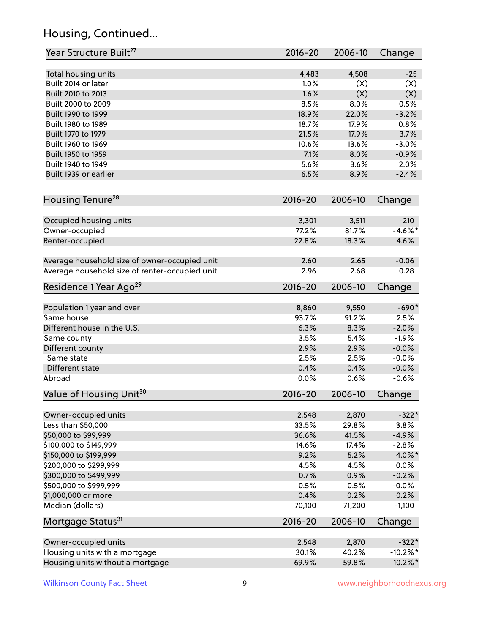# Housing, Continued...

| Year Structure Built <sup>27</sup>             | 2016-20     | 2006-10 | Change      |
|------------------------------------------------|-------------|---------|-------------|
| Total housing units                            | 4,483       | 4,508   | $-25$       |
| Built 2014 or later                            | 1.0%        | (X)     | (X)         |
| Built 2010 to 2013                             | 1.6%        | (X)     | (X)         |
| Built 2000 to 2009                             | 8.5%        | 8.0%    | 0.5%        |
| Built 1990 to 1999                             | 18.9%       | 22.0%   | $-3.2%$     |
| Built 1980 to 1989                             | 18.7%       | 17.9%   | 0.8%        |
| Built 1970 to 1979                             | 21.5%       | 17.9%   | 3.7%        |
| Built 1960 to 1969                             | 10.6%       | 13.6%   | $-3.0%$     |
| Built 1950 to 1959                             | 7.1%        | 8.0%    | $-0.9%$     |
| Built 1940 to 1949                             | 5.6%        | 3.6%    | 2.0%        |
| Built 1939 or earlier                          | 6.5%        | 8.9%    | $-2.4%$     |
|                                                |             |         |             |
| Housing Tenure <sup>28</sup>                   | $2016 - 20$ | 2006-10 | Change      |
| Occupied housing units                         | 3,301       | 3,511   | $-210$      |
| Owner-occupied                                 | 77.2%       | 81.7%   | $-4.6\%$ *  |
| Renter-occupied                                | 22.8%       | 18.3%   | 4.6%        |
| Average household size of owner-occupied unit  | 2.60        | 2.65    | $-0.06$     |
| Average household size of renter-occupied unit | 2.96        | 2.68    | 0.28        |
| Residence 1 Year Ago <sup>29</sup>             | 2016-20     | 2006-10 | Change      |
| Population 1 year and over                     | 8,860       | 9,550   | $-690*$     |
| Same house                                     | 93.7%       | 91.2%   | 2.5%        |
| Different house in the U.S.                    | 6.3%        | 8.3%    | $-2.0%$     |
| Same county                                    | 3.5%        | 5.4%    | $-1.9%$     |
| Different county                               | 2.9%        | 2.9%    | $-0.0%$     |
| Same state                                     | 2.5%        | 2.5%    | $-0.0%$     |
| Different state                                | 0.4%        | 0.4%    | $-0.0%$     |
| Abroad                                         | 0.0%        | 0.6%    | $-0.6%$     |
|                                                |             |         |             |
| Value of Housing Unit <sup>30</sup>            | $2016 - 20$ | 2006-10 | Change      |
| Owner-occupied units                           | 2,548       | 2,870   | $-322*$     |
| Less than \$50,000                             | 33.5%       | 29.8%   | 3.8%        |
| \$50,000 to \$99,999                           | 36.6%       | 41.5%   | $-4.9%$     |
| \$100,000 to \$149,999                         | 14.6%       | 17.4%   | $-2.8%$     |
| \$150,000 to \$199,999                         | 9.2%        | 5.2%    | 4.0%*       |
| \$200,000 to \$299,999                         | 4.5%        | 4.5%    | 0.0%        |
| \$300,000 to \$499,999                         | 0.7%        | 0.9%    | $-0.2%$     |
| \$500,000 to \$999,999                         | 0.5%        | 0.5%    | $-0.0%$     |
| \$1,000,000 or more                            | 0.4%        | 0.2%    | 0.2%        |
| Median (dollars)                               | 70,100      | 71,200  | $-1,100$    |
| Mortgage Status <sup>31</sup>                  | 2016-20     | 2006-10 | Change      |
| Owner-occupied units                           | 2,548       | 2,870   | $-322*$     |
| Housing units with a mortgage                  | 30.1%       | 40.2%   | $-10.2\%$ * |
| Housing units without a mortgage               | 69.9%       | 59.8%   | 10.2%*      |
|                                                |             |         |             |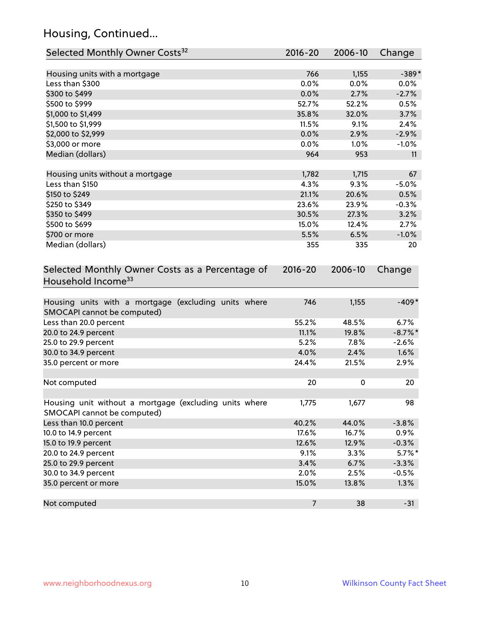# Housing, Continued...

| Selected Monthly Owner Costs <sup>32</sup>                                            | 2016-20        | 2006-10 | Change     |
|---------------------------------------------------------------------------------------|----------------|---------|------------|
| Housing units with a mortgage                                                         | 766            | 1,155   | $-389*$    |
| Less than \$300                                                                       | 0.0%           | 0.0%    | 0.0%       |
| \$300 to \$499                                                                        | 0.0%           | 2.7%    | $-2.7%$    |
| \$500 to \$999                                                                        | 52.7%          | 52.2%   | 0.5%       |
| \$1,000 to \$1,499                                                                    | 35.8%          | 32.0%   | 3.7%       |
| \$1,500 to \$1,999                                                                    | 11.5%          | 9.1%    | 2.4%       |
| \$2,000 to \$2,999                                                                    | 0.0%           | 2.9%    | $-2.9%$    |
| \$3,000 or more                                                                       | 0.0%           | 1.0%    | $-1.0%$    |
| Median (dollars)                                                                      | 964            | 953     | 11         |
|                                                                                       |                |         |            |
| Housing units without a mortgage                                                      | 1,782          | 1,715   | 67         |
| Less than \$150                                                                       | 4.3%           | 9.3%    | $-5.0%$    |
| \$150 to \$249                                                                        | 21.1%          | 20.6%   | 0.5%       |
| \$250 to \$349                                                                        | 23.6%          | 23.9%   | $-0.3%$    |
| \$350 to \$499                                                                        | 30.5%          | 27.3%   | 3.2%       |
| \$500 to \$699                                                                        | 15.0%          | 12.4%   | 2.7%       |
| \$700 or more                                                                         | 5.5%           | 6.5%    | $-1.0%$    |
| Median (dollars)                                                                      | 355            | 335     | 20         |
| Selected Monthly Owner Costs as a Percentage of<br>Household Income <sup>33</sup>     | $2016 - 20$    | 2006-10 | Change     |
| Housing units with a mortgage (excluding units where<br>SMOCAPI cannot be computed)   | 746            | 1,155   | $-409*$    |
| Less than 20.0 percent                                                                | 55.2%          | 48.5%   | 6.7%       |
| 20.0 to 24.9 percent                                                                  | 11.1%          | 19.8%   | $-8.7\%$ * |
| 25.0 to 29.9 percent                                                                  | 5.2%           | 7.8%    | $-2.6%$    |
| 30.0 to 34.9 percent                                                                  | 4.0%           | 2.4%    | 1.6%       |
| 35.0 percent or more                                                                  | 24.4%          | 21.5%   | 2.9%       |
| Not computed                                                                          | 20             | 0       | 20         |
|                                                                                       |                |         |            |
| Housing unit without a mortgage (excluding units where<br>SMOCAPI cannot be computed) | 1,775          | 1,677   | 98         |
| Less than 10.0 percent                                                                | 40.2%          | 44.0%   | $-3.8%$    |
| 10.0 to 14.9 percent                                                                  | 17.6%          | 16.7%   | 0.9%       |
| 15.0 to 19.9 percent                                                                  | 12.6%          | 12.9%   | $-0.3%$    |
| 20.0 to 24.9 percent                                                                  | 9.1%           | 3.3%    | $5.7\%$ *  |
| 25.0 to 29.9 percent                                                                  | 3.4%           | 6.7%    | $-3.3%$    |
| 30.0 to 34.9 percent                                                                  | 2.0%           | 2.5%    | $-0.5%$    |
| 35.0 percent or more                                                                  | 15.0%          | 13.8%   | 1.3%       |
| Not computed                                                                          | $\overline{7}$ | 38      | $-31$      |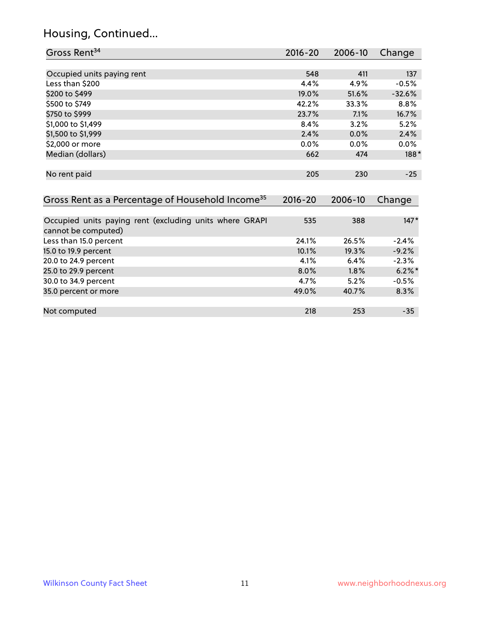# Housing, Continued...

| Gross Rent <sup>34</sup>                                                       | 2016-20     | 2006-10 | Change    |
|--------------------------------------------------------------------------------|-------------|---------|-----------|
|                                                                                |             |         |           |
| Occupied units paying rent                                                     | 548         | 411     | 137       |
| Less than \$200                                                                | 4.4%        | 4.9%    | $-0.5%$   |
| \$200 to \$499                                                                 | 19.0%       | 51.6%   | $-32.6%$  |
| \$500 to \$749                                                                 | 42.2%       | 33.3%   | 8.8%      |
| \$750 to \$999                                                                 | 23.7%       | 7.1%    | 16.7%     |
| \$1,000 to \$1,499                                                             | 8.4%        | 3.2%    | 5.2%      |
| \$1,500 to \$1,999                                                             | 2.4%        | 0.0%    | 2.4%      |
| \$2,000 or more                                                                | 0.0%        | 0.0%    | 0.0%      |
| Median (dollars)                                                               | 662         | 474     | $188*$    |
| No rent paid                                                                   | 205         | 230     | $-25$     |
| Gross Rent as a Percentage of Household Income <sup>35</sup>                   | $2016 - 20$ | 2006-10 | Change    |
| Occupied units paying rent (excluding units where GRAPI<br>cannot be computed) | 535         | 388     | $147*$    |
| Less than 15.0 percent                                                         | 24.1%       | 26.5%   | $-2.4%$   |
| 15.0 to 19.9 percent                                                           | 10.1%       | 19.3%   | $-9.2%$   |
| 20.0 to 24.9 percent                                                           | 4.1%        | 6.4%    | $-2.3%$   |
| 25.0 to 29.9 percent                                                           | 8.0%        | 1.8%    | $6.2\%$ * |
| 30.0 to 34.9 percent                                                           | 4.7%        | 5.2%    | $-0.5%$   |
| 35.0 percent or more                                                           | 49.0%       | 40.7%   | 8.3%      |
| Not computed                                                                   | 218         | 253     | $-35$     |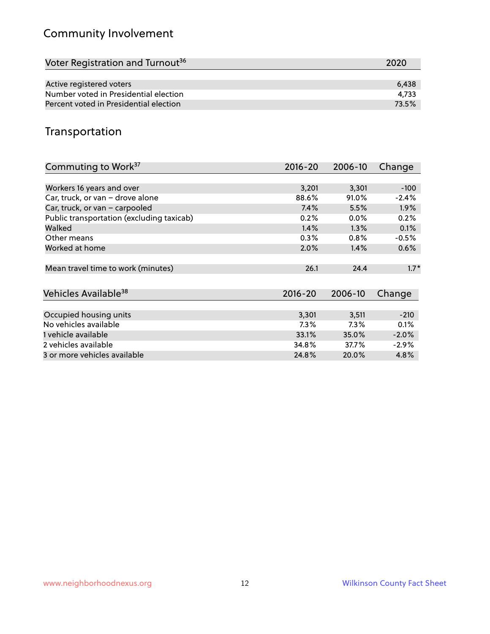# Community Involvement

| Voter Registration and Turnout <sup>36</sup> | 2020  |
|----------------------------------------------|-------|
|                                              |       |
| Active registered voters                     | 6.438 |
| Number voted in Presidential election        | 4.733 |
| Percent voted in Presidential election       | 73.5% |

## Transportation

| Commuting to Work <sup>37</sup>           | 2016-20     | 2006-10 | Change  |
|-------------------------------------------|-------------|---------|---------|
|                                           |             |         |         |
| Workers 16 years and over                 | 3,201       | 3,301   | $-100$  |
| Car, truck, or van - drove alone          | 88.6%       | 91.0%   | $-2.4%$ |
| Car, truck, or van - carpooled            | 7.4%        | 5.5%    | 1.9%    |
| Public transportation (excluding taxicab) | 0.2%        | 0.0%    | 0.2%    |
| Walked                                    | 1.4%        | 1.3%    | 0.1%    |
| Other means                               | 0.3%        | 0.8%    | $-0.5%$ |
| Worked at home                            | 2.0%        | 1.4%    | 0.6%    |
| Mean travel time to work (minutes)        | 26.1        | 24.4    | $1.7*$  |
| Vehicles Available <sup>38</sup>          | $2016 - 20$ | 2006-10 | Change  |
|                                           |             |         |         |
| Occupied housing units                    | 3,301       | 3,511   | $-210$  |
| No vehicles available                     | $7.3\%$     | 7.3%    | 0.1%    |
| 1 vehicle available                       | 33.1%       | 35.0%   | $-2.0%$ |
| 2 vehicles available                      | 34.8%       | 37.7%   | $-2.9%$ |
| 3 or more vehicles available              | 24.8%       | 20.0%   | 4.8%    |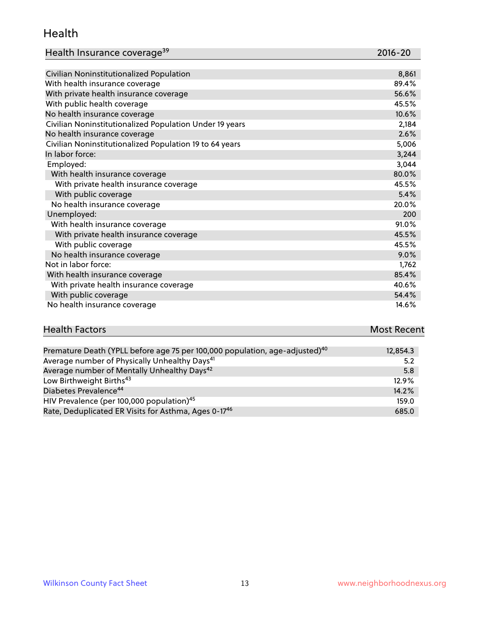#### Health

| Health Insurance coverage <sup>39</sup> | 2016-20 |
|-----------------------------------------|---------|
|-----------------------------------------|---------|

| Civilian Noninstitutionalized Population                | 8,861 |
|---------------------------------------------------------|-------|
| With health insurance coverage                          | 89.4% |
| With private health insurance coverage                  | 56.6% |
| With public health coverage                             | 45.5% |
| No health insurance coverage                            | 10.6% |
| Civilian Noninstitutionalized Population Under 19 years | 2,184 |
| No health insurance coverage                            | 2.6%  |
| Civilian Noninstitutionalized Population 19 to 64 years | 5,006 |
| In labor force:                                         | 3,244 |
| Employed:                                               | 3,044 |
| With health insurance coverage                          | 80.0% |
| With private health insurance coverage                  | 45.5% |
| With public coverage                                    | 5.4%  |
| No health insurance coverage                            | 20.0% |
| Unemployed:                                             | 200   |
| With health insurance coverage                          | 91.0% |
| With private health insurance coverage                  | 45.5% |
| With public coverage                                    | 45.5% |
| No health insurance coverage                            | 9.0%  |
| Not in labor force:                                     | 1,762 |
| With health insurance coverage                          | 85.4% |
| With private health insurance coverage                  | 40.6% |
| With public coverage                                    | 54.4% |
| No health insurance coverage                            | 14.6% |

| <b>Health Factors</b> | <b>Most Recent</b> |
|-----------------------|--------------------|
|                       |                    |

| Premature Death (YPLL before age 75 per 100,000 population, age-adjusted) <sup>40</sup> | 12,854.3 |
|-----------------------------------------------------------------------------------------|----------|
| Average number of Physically Unhealthy Days <sup>41</sup>                               | 5.2      |
| Average number of Mentally Unhealthy Days <sup>42</sup>                                 | 5.8      |
| Low Birthweight Births <sup>43</sup>                                                    | 12.9%    |
| Diabetes Prevalence <sup>44</sup>                                                       | 14.2%    |
| HIV Prevalence (per 100,000 population) <sup>45</sup>                                   | 159.0    |
| Rate, Deduplicated ER Visits for Asthma, Ages 0-17 <sup>46</sup>                        | 685.0    |